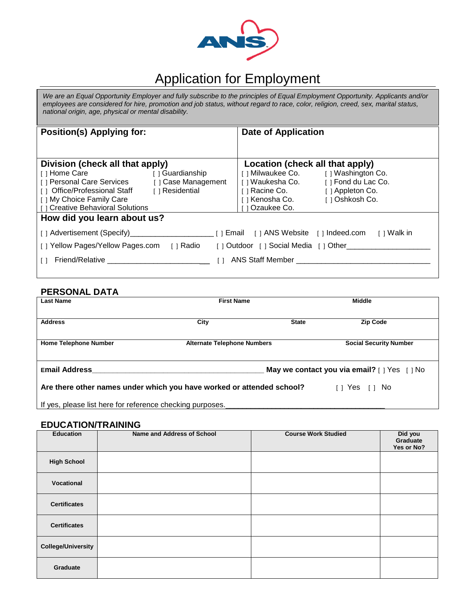

# Application for Employment

*We are an Equal Opportunity Employer and fully subscribe to the principles of Equal Employment Opportunity. Applicants and/or employees are considered for hire, promotion and job status, without regard to race, color, religion, creed, sex, marital status, national origin, age, physical or mental disability.*

| <b>Position(s) Applying for:</b>                                                   |                     | <b>Date of Application</b>               |                                      |  |
|------------------------------------------------------------------------------------|---------------------|------------------------------------------|--------------------------------------|--|
|                                                                                    |                     |                                          |                                      |  |
|                                                                                    |                     |                                          |                                      |  |
| Division (check all that apply)                                                    |                     | Location (check all that apply)          |                                      |  |
| [ ] Home Care                                                                      | [ ] Guardianship    |                                          | [ ] Milwaukee Co. [ ] Washington Co. |  |
| [ ] Personal Care Services                                                         | [ ] Case Management | [ ] Waukesha Co.                         | [ ] Fond du Lac Co.                  |  |
| [ ] Office/Professional Staff                                                      | [ ] Residential     | ⊺ ⊺ Racine Co.                           | [ ] Appleton Co.                     |  |
| [ ] My Choice Family Care                                                          |                     | ⊺Kenosha Co.                             | [ ] Oshkosh Co.                      |  |
| [] Creative Behavioral Solutions                                                   |                     | Ozaukee Co.                              |                                      |  |
| How did you learn about us?                                                        |                     |                                          |                                      |  |
| [ ] Email [ ] ANS Website [ ] Indeed.com<br>⊺ I Walk in                            |                     |                                          |                                      |  |
| [ ] Yellow Pages/Yellow Pages.com [ ] Radio [ ] Outdoor [ ] Social Media [ ] Other |                     |                                          |                                      |  |
| Friend/Relative <b>Example 2006</b><br>$\Box$                                      | $\lceil$ $\rceil$   | ANS Staff Member <b>ANS</b> Staff Member |                                      |  |
|                                                                                    |                     |                                          |                                      |  |

## **PERSONAL DATA**

| <b>Last Name</b>                                                                                                               | <b>First Name</b>                  |              | <b>Middle</b>                                    |  |
|--------------------------------------------------------------------------------------------------------------------------------|------------------------------------|--------------|--------------------------------------------------|--|
| <b>Address</b>                                                                                                                 | City                               | <b>State</b> | <b>Zip Code</b>                                  |  |
| <b>Home Telephone Number</b>                                                                                                   | <b>Alternate Telephone Numbers</b> |              | <b>Social Security Number</b>                    |  |
| <b>Email Address</b>                                                                                                           |                                    |              | May we contact you via email? $[ ]$ Yes $[ ]$ No |  |
| Are there other names under which you have worked or attended school?<br>$\begin{bmatrix} 1 & \text{Yes} & 1 \end{bmatrix}$ No |                                    |              |                                                  |  |
| If yes, please list here for reference checking purposes.                                                                      |                                    |              |                                                  |  |

#### **EDUCATION/TRAINING**

| <b>Education</b>          | Name and Address of School | <b>Course Work Studied</b> | Did you<br>Graduate<br>Yes or No? |
|---------------------------|----------------------------|----------------------------|-----------------------------------|
| <b>High School</b>        |                            |                            |                                   |
| Vocational                |                            |                            |                                   |
| <b>Certificates</b>       |                            |                            |                                   |
| <b>Certificates</b>       |                            |                            |                                   |
| <b>College/University</b> |                            |                            |                                   |
| Graduate                  |                            |                            |                                   |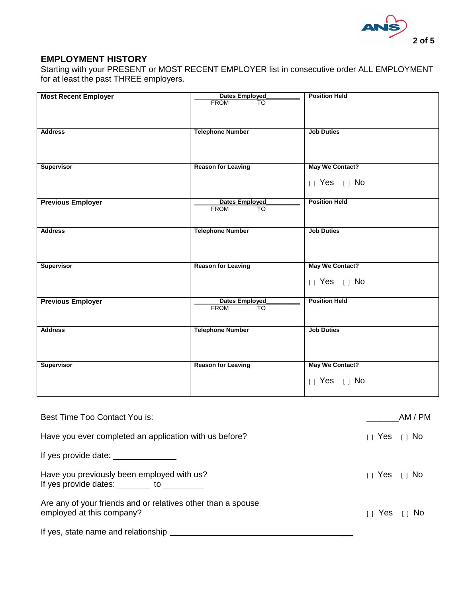

## **EMPLOYMENT HISTORY**

Starting with your PRESENT or MOST RECENT EMPLOYER list in consecutive order ALL EMPLOYMENT for at least the past THREE employers.

| <b>Most Recent Employer</b> | Dates Employed<br><b>FROM</b><br>$\overline{10}$ | <b>Position Held</b>   |
|-----------------------------|--------------------------------------------------|------------------------|
|                             |                                                  |                        |
| <b>Address</b>              | <b>Telephone Number</b>                          | <b>Job Duties</b>      |
|                             |                                                  |                        |
| Supervisor                  | <b>Reason for Leaving</b>                        | <b>May We Contact?</b> |
|                             |                                                  | $[ ]$ Yes $[ ]$ No     |
| <b>Previous Employer</b>    | Dates Employed<br><b>FROM</b><br><b>TO</b>       | <b>Position Held</b>   |
|                             |                                                  |                        |
| <b>Address</b>              | <b>Telephone Number</b>                          | <b>Job Duties</b>      |
|                             |                                                  |                        |
| <b>Supervisor</b>           | <b>Reason for Leaving</b>                        | <b>May We Contact?</b> |
|                             |                                                  | $[]$ Yes $[]$ No       |
| <b>Previous Employer</b>    | <b>Dates Employed</b><br><b>FROM</b><br>TO       | <b>Position Held</b>   |
|                             |                                                  |                        |
| <b>Address</b>              | <b>Telephone Number</b>                          | <b>Job Duties</b>      |
|                             |                                                  |                        |
| <b>Supervisor</b>           | <b>Reason for Leaving</b>                        | <b>May We Contact?</b> |
|                             |                                                  | $[ ]$ Yes $[ ]$ No     |

| Best Time Too Contact You is:                                                                          | AM / PM                                                                    |
|--------------------------------------------------------------------------------------------------------|----------------------------------------------------------------------------|
| Have you ever completed an application with us before?                                                 | $\begin{bmatrix} 1 \end{bmatrix}$ Yes $\begin{bmatrix} 1 \end{bmatrix}$ No |
| If yes provide date: ________________                                                                  |                                                                            |
| Have you previously been employed with us?<br>If yes provide dates: $\qquad \qquad$ to $\qquad \qquad$ | $\begin{bmatrix} 1 & \text{Yes} & 1 \end{bmatrix}$ No                      |
| Are any of your friends and or relatives other than a spouse<br>employed at this company?              | $\begin{bmatrix} 1 & \text{Yes} & \text{I} & \text{No} \end{bmatrix}$      |
| If yes, state name and relationship                                                                    |                                                                            |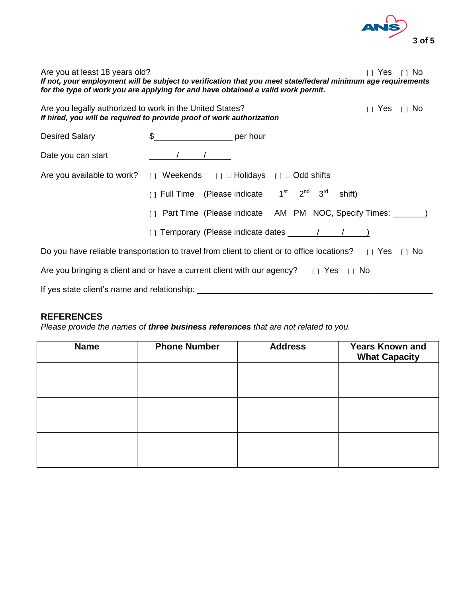

Are you at least 18 years old? The state of the state of the state of the state of the state of the state of the state of the state of the state of the state of the state of the state of the state of the state of the state *If not, your employment will be subject to verification that you meet state/federal minimum age requirements for the type of work you are applying for and have obtained a valid work permit.*

| Are you legally authorized to work in the United States?<br>If hired, you will be required to provide proof of work authorization                            |                        |                                                                                                                | $\begin{bmatrix} 1 & \text{Yes} & 1 \end{bmatrix}$ No |
|--------------------------------------------------------------------------------------------------------------------------------------------------------------|------------------------|----------------------------------------------------------------------------------------------------------------|-------------------------------------------------------|
| <b>Desired Salary</b>                                                                                                                                        | $\frac{1}{2}$ per hour |                                                                                                                |                                                       |
| Date you can start                                                                                                                                           |                        |                                                                                                                |                                                       |
| Are you available to work? [ ] Weekends [ ] $\Box$ Holidays [ ] $\Box$ Odd shifts                                                                            |                        |                                                                                                                |                                                       |
|                                                                                                                                                              |                        | [] Full Time (Please indicate 1 <sup>st</sup> 2 <sup>nd</sup> 3 <sup>rd</sup><br>shift)                        |                                                       |
|                                                                                                                                                              |                        | [ ] Part Time (Please indicate AM PM NOC, Specify Times: ________)                                             |                                                       |
|                                                                                                                                                              |                        | $\begin{pmatrix} 1 \\ 1 \end{pmatrix}$ Temporary (Please indicate dates $\begin{pmatrix} 1 \\ 1 \end{pmatrix}$ |                                                       |
| Do you have reliable transportation to travel from client to client or to office locations? [1] Yes [1] No                                                   |                        |                                                                                                                |                                                       |
| Are you bringing a client and or have a current client with our agency? $\begin{bmatrix} 1 \\ 2 \end{bmatrix}$ Yes $\begin{bmatrix} 1 \\ 1 \end{bmatrix}$ No |                        |                                                                                                                |                                                       |
| If yes state client's name and relationship:                                                                                                                 |                        |                                                                                                                |                                                       |

### **REFERENCES**

*Please provide the names of three business references that are not related to you.*

| <b>Name</b> | <b>Phone Number</b> | <b>Address</b> | <b>Years Known and</b><br><b>What Capacity</b> |
|-------------|---------------------|----------------|------------------------------------------------|
|             |                     |                |                                                |
|             |                     |                |                                                |
|             |                     |                |                                                |
|             |                     |                |                                                |
|             |                     |                |                                                |
|             |                     |                |                                                |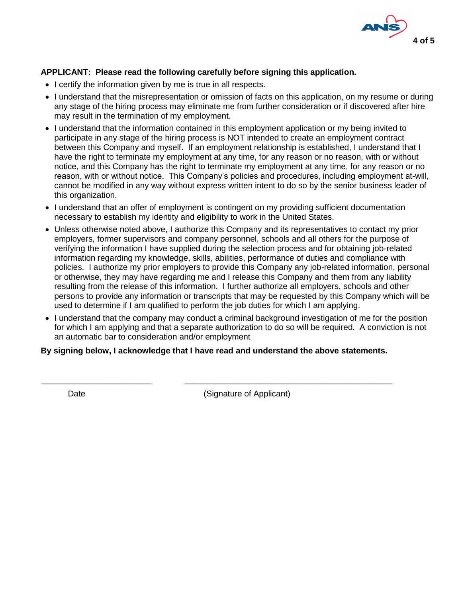

### **APPLICANT: Please read the following carefully before signing this application.**

- I certify the information given by me is true in all respects.
- I understand that the misrepresentation or omission of facts on this application, on my resume or during any stage of the hiring process may eliminate me from further consideration or if discovered after hire may result in the termination of my employment.
- I understand that the information contained in this employment application or my being invited to participate in any stage of the hiring process is NOT intended to create an employment contract between this Company and myself. If an employment relationship is established, I understand that I have the right to terminate my employment at any time, for any reason or no reason, with or without notice, and this Company has the right to terminate my employment at any time, for any reason or no reason, with or without notice. This Company's policies and procedures, including employment at-will, cannot be modified in any way without express written intent to do so by the senior business leader of this organization.
- I understand that an offer of employment is contingent on my providing sufficient documentation necessary to establish my identity and eligibility to work in the United States.
- Unless otherwise noted above, I authorize this Company and its representatives to contact my prior employers, former supervisors and company personnel, schools and all others for the purpose of verifying the information I have supplied during the selection process and for obtaining job-related information regarding my knowledge, skills, abilities, performance of duties and compliance with policies. I authorize my prior employers to provide this Company any job-related information, personal or otherwise, they may have regarding me and I release this Company and them from any liability resulting from the release of this information. I further authorize all employers, schools and other persons to provide any information or transcripts that may be requested by this Company which will be used to determine if I am qualified to perform the job duties for which I am applying.
- I understand that the company may conduct a criminal background investigation of me for the position for which I am applying and that a separate authorization to do so will be required. A conviction is not an automatic bar to consideration and/or employment

#### **By signing below, I acknowledge that I have read and understand the above statements.**

\_\_\_\_\_\_\_\_\_\_\_\_\_\_\_\_\_\_\_\_\_\_\_\_ \_\_\_\_\_\_\_\_\_\_\_\_\_\_\_\_\_\_\_\_\_\_\_\_\_\_\_\_\_\_\_\_\_\_\_\_\_\_\_\_\_\_\_\_\_

Date **Date** (Signature of Applicant)